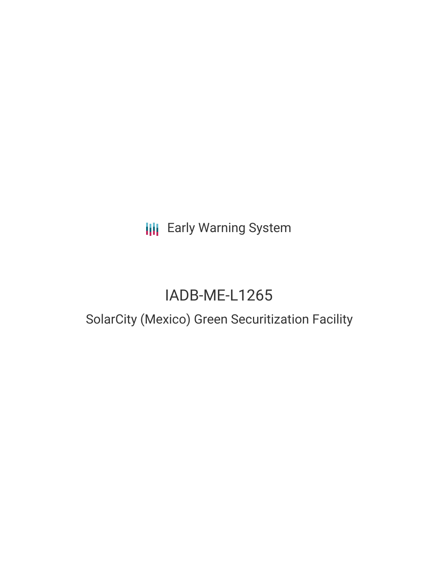**III** Early Warning System

# IADB-ME-L1265

# SolarCity (Mexico) Green Securitization Facility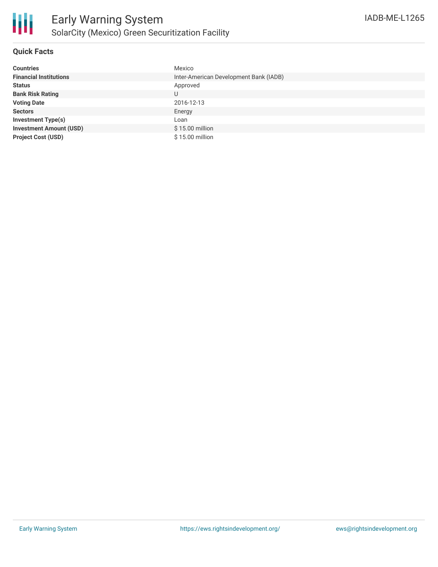

# **Quick Facts**

| <b>Countries</b>               | Mexico                                 |
|--------------------------------|----------------------------------------|
| <b>Financial Institutions</b>  | Inter-American Development Bank (IADB) |
| <b>Status</b>                  | Approved                               |
| <b>Bank Risk Rating</b>        | U                                      |
| <b>Voting Date</b>             | 2016-12-13                             |
| <b>Sectors</b>                 | Energy                                 |
| <b>Investment Type(s)</b>      | Loan                                   |
| <b>Investment Amount (USD)</b> | \$15.00 million                        |
| <b>Project Cost (USD)</b>      | \$15.00 million                        |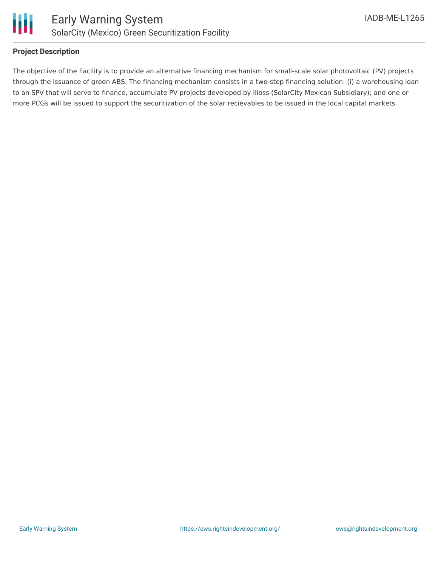

#### **Project Description**

The objective of the Facility is to provide an alternative financing mechanism for small-scale solar photovoltaic (PV) projects through the issuance of green ABS. The financing mechanism consists in a two-step financing solution: (i) a warehousing loan to an SPV that will serve to finance, accumulate PV projects developed by Ilioss (SolarCity Mexican Subsidiary); and one or more PCGs will be issued to support the securitization of the solar recievables to be issued in the local capital markets.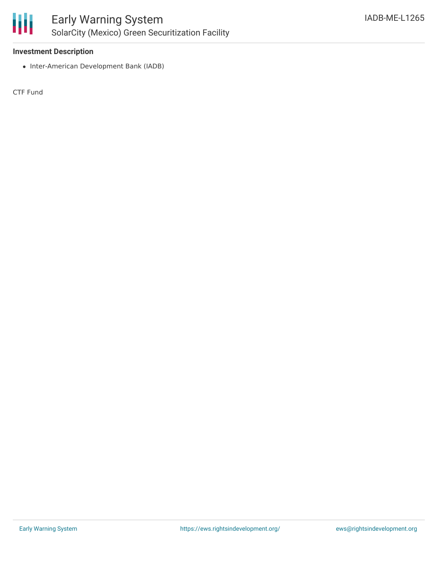

## **Investment Description**

• Inter-American Development Bank (IADB)

CTF Fund